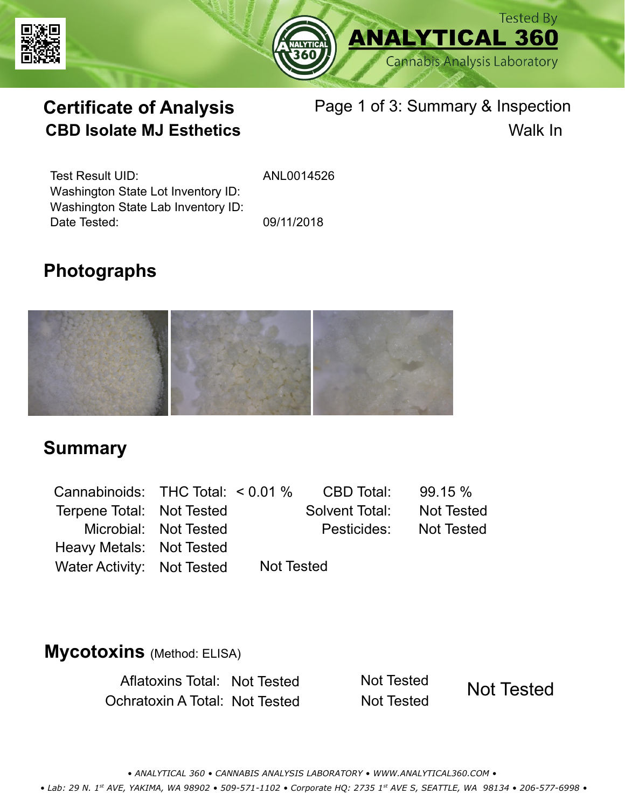



# **Certificate of Analysis** Page 1 of 3: Summary & Inspection **CBD Isolate MJ Esthetics** Walk In

Test Result UID: Washington State Lot Inventory ID: Date Tested: 09/11/2018 Washington State Lab Inventory ID:

ANL0014526

# **Photographs**



### **Summary**

Cannabinoids: THC Total:  $< 0.01$  % Terpene Total: Not Tested Microbial: Not Tested CBD Total: 99.15 % Pesticides: Heavy Metals: Not Tested Not Tested Solvent Total: Not Tested

### **Mycotoxins** (Method: ELISA)

Aflatoxins Total: Not Tested Not Tested Ochratoxin A Total: Not Tested Not Tested

Water Activity: Not Tested Not Tested

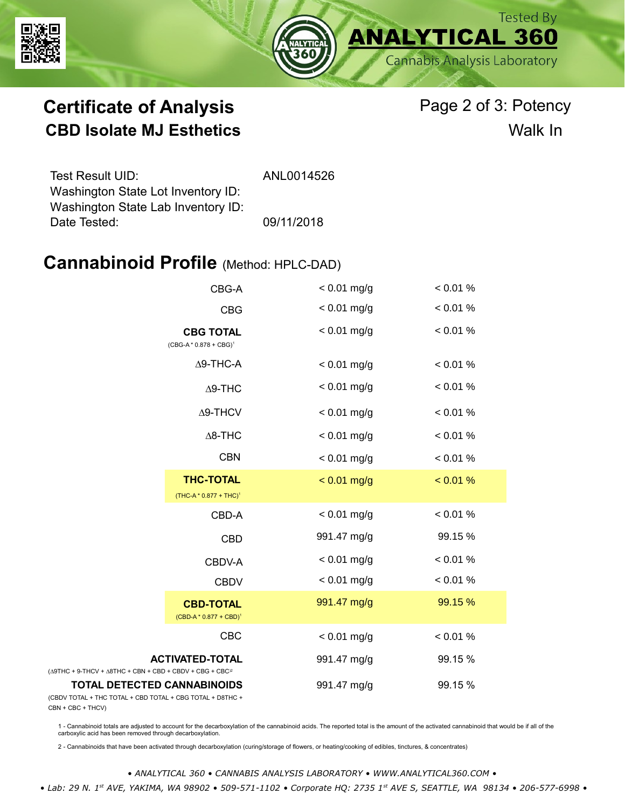



# **Certificate of Analysis** Page 2 of 3: Potency **CBD Isolate MJ Esthetics** Walk In

| Test Result UID:                   | ANL0014526 |
|------------------------------------|------------|
| Washington State Lot Inventory ID: |            |
| Washington State Lab Inventory ID: |            |
| Date Tested:                       | 09/11/2018 |

### **Cannabinoid Profile** (Method: HPLC-DAD)

|                                                                                                   | CBG-A                                         | $< 0.01$ mg/g | < 0.01 % |
|---------------------------------------------------------------------------------------------------|-----------------------------------------------|---------------|----------|
|                                                                                                   | <b>CBG</b>                                    | $< 0.01$ mg/g | < 0.01 % |
|                                                                                                   | <b>CBG TOTAL</b><br>$(CBG-A * 0.878 + CBG)^1$ | $< 0.01$ mg/g | < 0.01 % |
|                                                                                                   | $\Delta$ 9-THC-A                              | $< 0.01$ mg/g | < 0.01 % |
|                                                                                                   | $\Delta$ 9-THC                                | $< 0.01$ mg/g | < 0.01 % |
|                                                                                                   | $\Delta$ 9-THCV                               | $< 0.01$ mg/g | < 0.01 % |
|                                                                                                   | $\Delta$ 8-THC                                | $< 0.01$ mg/g | < 0.01 % |
|                                                                                                   | <b>CBN</b>                                    | $< 0.01$ mg/g | < 0.01 % |
|                                                                                                   | <b>THC-TOTAL</b><br>$(THC-A * 0.877 + THC)^1$ | $< 0.01$ mg/g | < 0.01 % |
|                                                                                                   | CBD-A                                         | $< 0.01$ mg/g | < 0.01 % |
|                                                                                                   | <b>CBD</b>                                    | 991.47 mg/g   | 99.15 %  |
|                                                                                                   | CBDV-A                                        | $< 0.01$ mg/g | < 0.01 % |
|                                                                                                   | <b>CBDV</b>                                   | $< 0.01$ mg/g | < 0.01 % |
|                                                                                                   | <b>CBD-TOTAL</b><br>$(CBD-A * 0.877 + CBD)^1$ | 991.47 mg/g   | 99.15 %  |
|                                                                                                   | CBC                                           | $< 0.01$ mg/g | < 0.01 % |
| <b>ACTIVATED-TOTAL</b><br>$(\Delta 9THC + 9-THCV + \Delta 8THC + CBN + CBD + CBDV + CBC + CBC)^2$ |                                               | 991.47 mg/g   | 99.15 %  |
| <b>TOTAL DETECTED CANNABINOIDS</b><br>(CBDV TOTAL + THC TOTAL + CBD TOTAL + CBG TOTAL + D8THC +   |                                               | 991.47 mg/g   | 99.15 %  |

(CBDV TOTAL + THC TOTAL + CBN + CBC + THCV)

1 - Cannabinoid totals are adjusted to account for the decarboxylation of the cannabinoid acids. The reported total is the amount of the activated cannabinoid that would be if all of the<br>carboxylic acid has been removed th

2 - Cannabinoids that have been activated through decarboxylation (curing/storage of flowers, or heating/cooking of edibles, tinctures, & concentrates)

*• ANALYTICAL 360 • CANNABIS ANALYSIS LABORATORY • WWW.ANALYTICAL360.COM • • Lab: 29 N. 1st AVE, YAKIMA, WA 98902 • 509-571-1102 • Corporate HQ: 2735 1st AVE S, SEATTLE, WA 98134 • 206-577-6998 •*